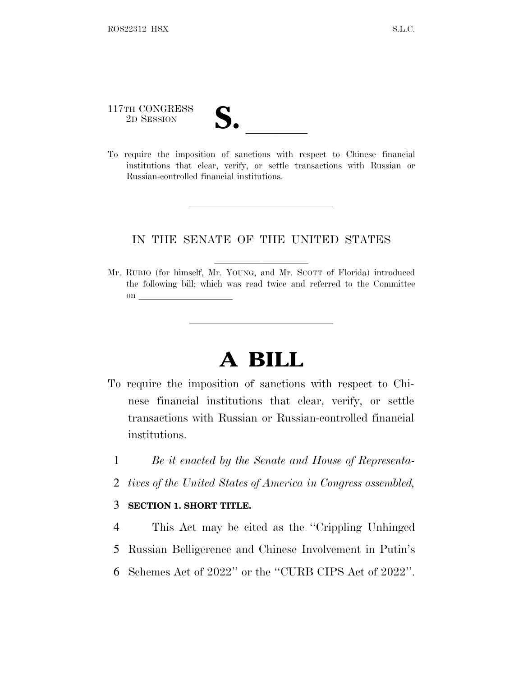117TH CONGRESS

117TH CONGRESS<br>
2D SESSION<br>
To require the imposition of sanctions with respect to Chinese financial institutions that clear, verify, or settle transactions with Russian or Russian-controlled financial institutions.

## IN THE SENATE OF THE UNITED STATES

Mr. RUBIO (for himself, Mr. YOUNG, and Mr. SCOTT of Florida) introduced the following bill; which was read twice and referred to the Committee on  $\overline{\qquad \qquad }$ 

## **A BILL**

- To require the imposition of sanctions with respect to Chinese financial institutions that clear, verify, or settle transactions with Russian or Russian-controlled financial institutions.
	- 1 *Be it enacted by the Senate and House of Representa-*
	- 2 *tives of the United States of America in Congress assembled,*

## 3 **SECTION 1. SHORT TITLE.**

- 4 This Act may be cited as the ''Crippling Unhinged
- 5 Russian Belligerence and Chinese Involvement in Putin's
- 6 Schemes Act of 2022'' or the ''CURB CIPS Act of 2022''.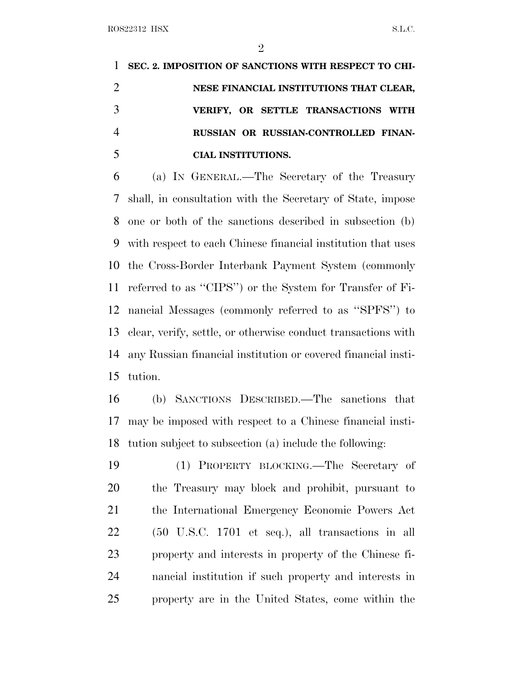**SEC. 2. IMPOSITION OF SANCTIONS WITH RESPECT TO CHI- NESE FINANCIAL INSTITUTIONS THAT CLEAR, VERIFY, OR SETTLE TRANSACTIONS WITH RUSSIAN OR RUSSIAN-CONTROLLED FINAN-CIAL INSTITUTIONS.**

 (a) I<sup>N</sup> GENERAL.—The Secretary of the Treasury shall, in consultation with the Secretary of State, impose one or both of the sanctions described in subsection (b) with respect to each Chinese financial institution that uses the Cross-Border Interbank Payment System (commonly referred to as ''CIPS'') or the System for Transfer of Fi- nancial Messages (commonly referred to as ''SPFS'') to clear, verify, settle, or otherwise conduct transactions with any Russian financial institution or covered financial insti-tution.

 (b) SANCTIONS DESCRIBED.—The sanctions that may be imposed with respect to a Chinese financial insti-tution subject to subsection (a) include the following:

 (1) PROPERTY BLOCKING.—The Secretary of the Treasury may block and prohibit, pursuant to the International Emergency Economic Powers Act (50 U.S.C. 1701 et seq.), all transactions in all property and interests in property of the Chinese fi- nancial institution if such property and interests in property are in the United States, come within the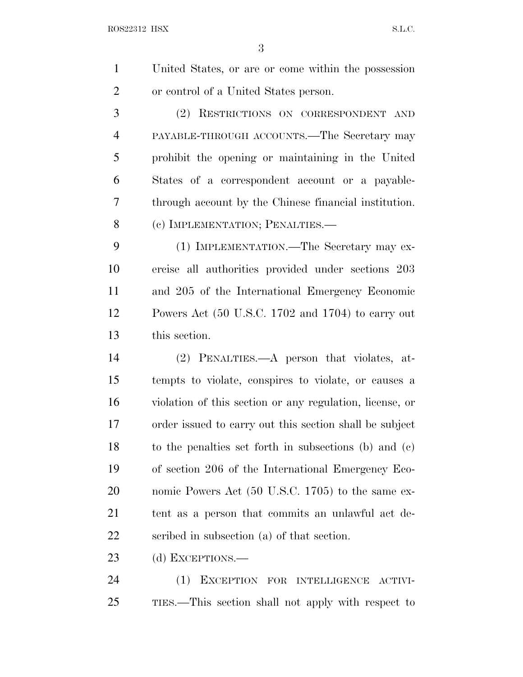United States, or are or come within the possession or control of a United States person.

 (2) RESTRICTIONS ON CORRESPONDENT AND PAYABLE-THROUGH ACCOUNTS.—The Secretary may prohibit the opening or maintaining in the United States of a correspondent account or a payable- through account by the Chinese financial institution. 8 (c) IMPLEMENTATION; PENALTIES.—

 (1) IMPLEMENTATION.—The Secretary may ex- ercise all authorities provided under sections 203 and 205 of the International Emergency Economic Powers Act (50 U.S.C. 1702 and 1704) to carry out this section.

 (2) PENALTIES.—A person that violates, at- tempts to violate, conspires to violate, or causes a violation of this section or any regulation, license, or order issued to carry out this section shall be subject to the penalties set forth in subsections (b) and (c) of section 206 of the International Emergency Eco- nomic Powers Act (50 U.S.C. 1705) to the same ex- tent as a person that commits an unlawful act de-scribed in subsection (a) of that section.

23 (d) EXCEPTIONS.—

 (1) EXCEPTION FOR INTELLIGENCE ACTIVI-TIES.—This section shall not apply with respect to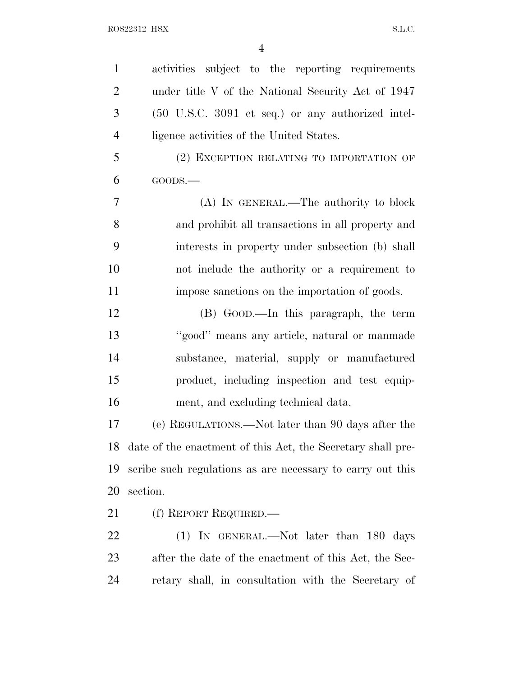| $\mathbf{1}$   | activities subject to the reporting requirements            |
|----------------|-------------------------------------------------------------|
| $\overline{2}$ | under title V of the National Security Act of 1947          |
| 3              | (50 U.S.C. 3091 et seq.) or any authorized intel-           |
| $\overline{4}$ | ligence activities of the United States.                    |
| 5              | (2) EXCEPTION RELATING TO IMPORTATION OF                    |
| 6              | $GOODS.$ —                                                  |
| 7              | (A) IN GENERAL.—The authority to block                      |
| 8              | and prohibit all transactions in all property and           |
| 9              | interests in property under subsection (b) shall            |
| 10             | not include the authority or a requirement to               |
| 11             | impose sanctions on the importation of goods.               |
| 12             | (B) GOOD.—In this paragraph, the term                       |
| 13             | "good" means any article, natural or manmade                |
| 14             | substance, material, supply or manufactured                 |
| 15             | product, including inspection and test equip-               |
| 16             | ment, and excluding technical data.                         |
| 17             | (e) REGULATIONS.—Not later than 90 days after the           |
| 18             | date of the enactment of this Act, the Secretary shall pre- |
| 19             | scribe such regulations as are necessary to carry out this  |
| 20             | section.                                                    |
| 21             | (f) REPORT REQUIRED.—                                       |
| <u>22</u>      | (1) IN GENERAL.—Not later than 180 days                     |
| 23             | after the date of the enactment of this Act, the Sec-       |
| 24             | retary shall, in consultation with the Secretary of         |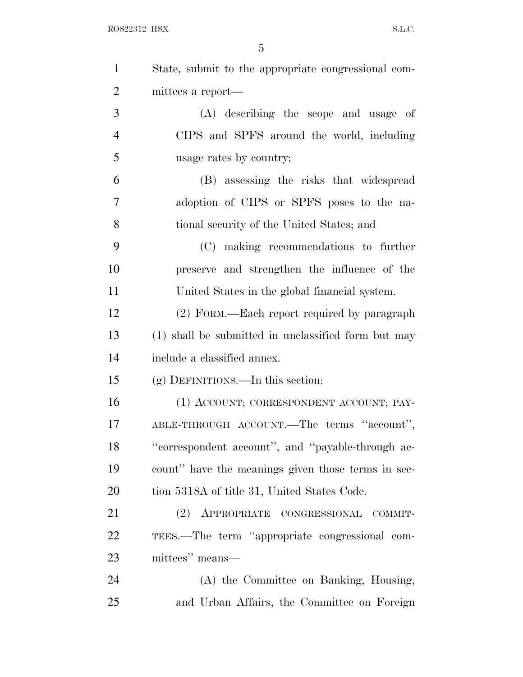| $\mathbf{1}$   | State, submit to the appropriate congressional com- |
|----------------|-----------------------------------------------------|
| $\overline{2}$ | mittees a report—                                   |
| 3              | (A) describing the scope and usage of               |
| $\overline{4}$ | CIPS and SPFS around the world, including           |
| 5              | usage rates by country;                             |
| 6              | (B) assessing the risks that widespread             |
| 7              | adoption of CIPS or SPFS poses to the na-           |
| 8              | tional security of the United States; and           |
| 9              | (C) making recommendations to further               |
| 10             | preserve and strengthen the influence of the        |
| 11             | United States in the global financial system.       |
| 12             | (2) FORM.—Each report required by paragraph         |
| 13             | (1) shall be submitted in unclassified form but may |
| 14             | include a classified annex.                         |
| 15             | $(g)$ DEFINITIONS.—In this section:                 |
| 16             | (1) ACCOUNT; CORRESPONDENT ACCOUNT; PAY-            |
| 17             | ABLE-THROUGH ACCOUNT.—The terms "account",          |
| 18             | "correspondent account", and "payable-through ac-   |
| 19             | count" have the meanings given those terms in sec-  |
| 20             | tion 5318A of title 31, United States Code.         |
| 21             | (2) APPROPRIATE CONGRESSIONAL COMMIT-               |
| 22             | TEES.—The term "appropriate congressional com-      |
| 23             | mittees" means—                                     |
| 24             | (A) the Committee on Banking, Housing,              |
| 25             | and Urban Affairs, the Committee on Foreign         |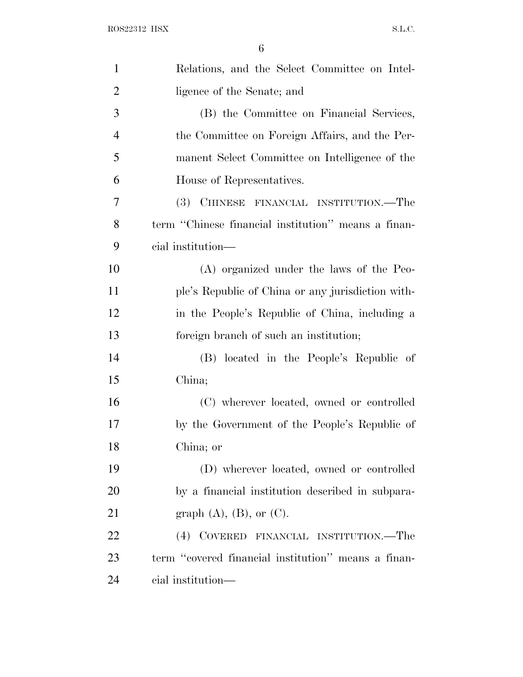| $\mathbf{1}$   | Relations, and the Select Committee on Intel-       |
|----------------|-----------------------------------------------------|
| $\overline{2}$ | ligence of the Senate; and                          |
| 3              | (B) the Committee on Financial Services,            |
| $\overline{4}$ | the Committee on Foreign Affairs, and the Per-      |
| 5              | manent Select Committee on Intelligence of the      |
| 6              | House of Representatives.                           |
| 7              | (3) CHINESE FINANCIAL INSTITUTION.—The              |
| 8              | term "Chinese financial institution" means a finan- |
| 9              | cial institution—                                   |
| 10             | (A) organized under the laws of the Peo-            |
| 11             | ple's Republic of China or any jurisdiction with-   |
| 12             | in the People's Republic of China, including a      |
| 13             | foreign branch of such an institution;              |
| 14             | (B) located in the People's Republic of             |
| 15             | China;                                              |
| 16             | (C) wherever located, owned or controlled           |
| 17             | by the Government of the People's Republic of       |
| 18             | China; or                                           |
| 19             | (D) wherever located, owned or controlled           |
| 20             | by a financial institution described in subpara-    |
| 21             | graph $(A)$ , $(B)$ , or $(C)$ .                    |
| 22             | (4) COVERED FINANCIAL INSTITUTION.—The              |
| 23             | term "covered financial institution" means a finan- |
| 24             | cial institution—                                   |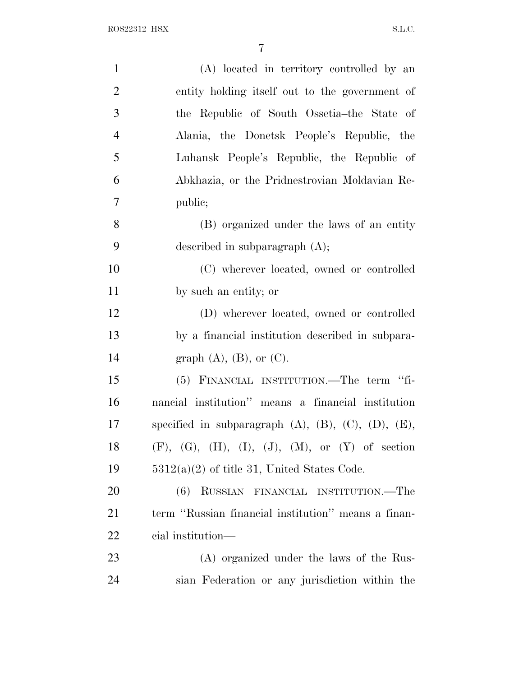| $\mathbf{1}$   | (A) located in territory controlled by an                           |
|----------------|---------------------------------------------------------------------|
| $\overline{2}$ | entity holding itself out to the government of                      |
| 3              | the Republic of South Ossetia–the State of                          |
| $\overline{4}$ | Alania, the Donetsk People's Republic, the                          |
| 5              | Luhansk People's Republic, the Republic of                          |
| 6              | Abkhazia, or the Pridnestrovian Moldavian Re-                       |
| 7              | public;                                                             |
| 8              | (B) organized under the laws of an entity                           |
| 9              | described in subparagraph $(A)$ ;                                   |
| 10             | (C) wherever located, owned or controlled                           |
| 11             | by such an entity; or                                               |
| 12             | (D) wherever located, owned or controlled                           |
| 13             | by a financial institution described in subpara-                    |
| 14             | graph $(A)$ , $(B)$ , or $(C)$ .                                    |
| 15             | (5) FINANCIAL INSTITUTION.—The term "fi-                            |
| 16             | nancial institution" means a financial institution                  |
| 17             | specified in subparagraph $(A)$ , $(B)$ , $(C)$ , $(D)$ , $(E)$ ,   |
| 18             | $(F)$ , $(G)$ , $(H)$ , $(I)$ , $(J)$ , $(M)$ , or $(Y)$ of section |
| 19             | $5312(a)(2)$ of title 31, United States Code.                       |
| <b>20</b>      | RUSSIAN FINANCIAL INSTITUTION.—The<br>(6)                           |
| 21             | term "Russian financial institution" means a finan-                 |
| 22             | cial institution—                                                   |
| 23             | (A) organized under the laws of the Rus-                            |
| 24             | sian Federation or any jurisdiction within the                      |